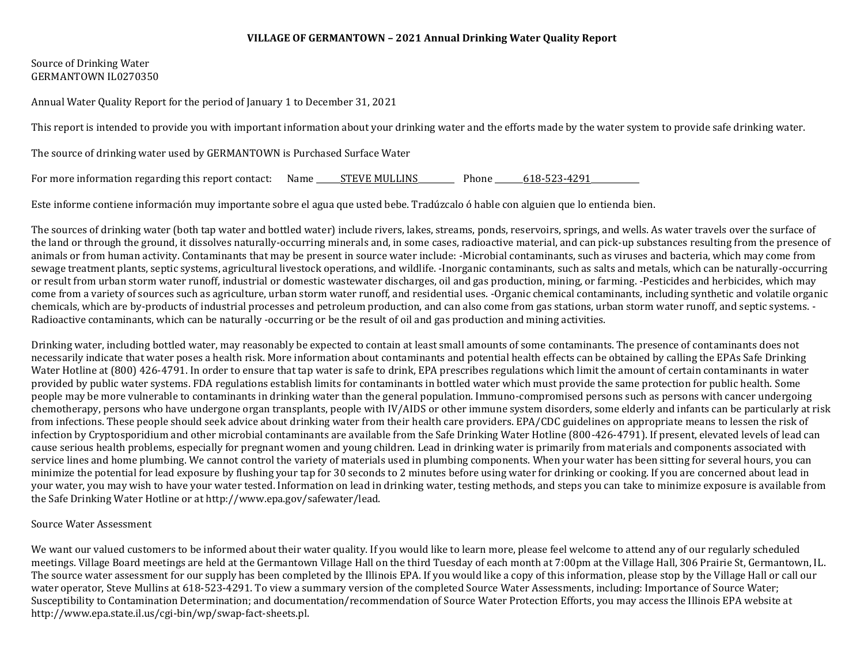#### **VILLAGE OF GERMANTOWN – 2021 Annual Drinking Water Quality Report**

### Source of Drinking Water GERMANTOWN IL0270350

Annual Water Quality Report for the period of January 1 to December 31, 2021

This report is intended to provide you with important information about your drinking water and the efforts made by the water system to provide safe drinking water.

The source of drinking water used by GERMANTOWN is Purchased Surface Water

For more information regarding this report contact: Name \_\_\_\_\_\_STEVE MULLINS\_\_\_\_\_\_\_\_\_ Phone \_\_\_\_\_\_\_618-523-4291\_\_\_\_\_\_\_\_\_\_\_\_

Este informe contiene información muy importante sobre el agua que usted bebe. Tradúzcalo ó hable con alguien que lo entienda bien.

The sources of drinking water (both tap water and bottled water) include rivers, lakes, streams, ponds, reservoirs, springs, and wells. As water travels over the surface of the land or through the ground, it dissolves naturally-occurring minerals and, in some cases, radioactive material, and can pick-up substances resulting from the presence of animals or from human activity. Contaminants that may be present in source water include: -Microbial contaminants, such as viruses and bacteria, which may come from sewage treatment plants, septic systems, agricultural livestock operations, and wildlife. -Inorganic contaminants, such as salts and metals, which can be naturally-occurring or result from urban storm water runoff, industrial or domestic wastewater discharges, oil and gas production, mining, or farming. -Pesticides and herbicides, which may come from a variety of sources such as agriculture, urban storm water runoff, and residential uses. -Organic chemical contaminants, including synthetic and volatile organic chemicals, which are by-products of industrial processes and petroleum production, and can also come from gas stations, urban storm water runoff, and septic systems. - Radioactive contaminants, which can be naturally -occurring or be the result of oil and gas production and mining activities.

Drinking water, including bottled water, may reasonably be expected to contain at least small amounts of some contaminants. The presence of contaminants does not necessarily indicate that water poses a health risk. More information about contaminants and potential health effects can be obtained by calling the EPAs Safe Drinking Water Hotline at (800) 426-4791. In order to ensure that tap water is safe to drink, EPA prescribes regulations which limit the amount of certain contaminants in water provided by public water systems. FDA regulations establish limits for contaminants in bottled water which must provide the same protection for public health. Some people may be more vulnerable to contaminants in drinking water than the general population. Immuno-compromised persons such as persons with cancer undergoing chemotherapy, persons who have undergone organ transplants, people with IV/AIDS or other immune system disorders, some elderly and infants can be particularly at risk from infections. These people should seek advice about drinking water from their health care providers. EPA/CDC guidelines on appropriate means to lessen the risk of infection by Cryptosporidium and other microbial contaminants are available from the Safe Drinking Water Hotline (800-426-4791). If present, elevated levels of lead can cause serious health problems, especially for pregnant women and young children. Lead in drinking water is primarily from materials and components associated with service lines and home plumbing. We cannot control the variety of materials used in plumbing components. When your water has been sitting for several hours, you can minimize the potential for lead exposure by flushing your tap for 30 seconds to 2 minutes before using water for drinking or cooking. If you are concerned about lead in your water, you may wish to have your water tested. Information on lead in drinking water, testing methods, and steps you can take to minimize exposure is available from the Safe Drinking Water Hotline or at http://www.epa.gov/safewater/lead.

#### Source Water Assessment

We want our valued customers to be informed about their water quality. If you would like to learn more, please feel welcome to attend any of our regularly scheduled meetings. Village Board meetings are held at the Germantown Village Hall on the third Tuesday of each month at 7:00pm at the Village Hall, 306 Prairie St, Germantown, IL. The source water assessment for our supply has been completed by the Illinois EPA. If you would like a copy of this information, please stop by the Village Hall or call our water operator, Steve Mullins at 618-523-4291. To view a summary version of the completed Source Water Assessments, including: Importance of Source Water; Susceptibility to Contamination Determination; and documentation/recommendation of Source Water Protection Efforts, you may access the Illinois EPA website at http://www.epa.state.il.us/cgi-bin/wp/swap-fact-sheets.pl.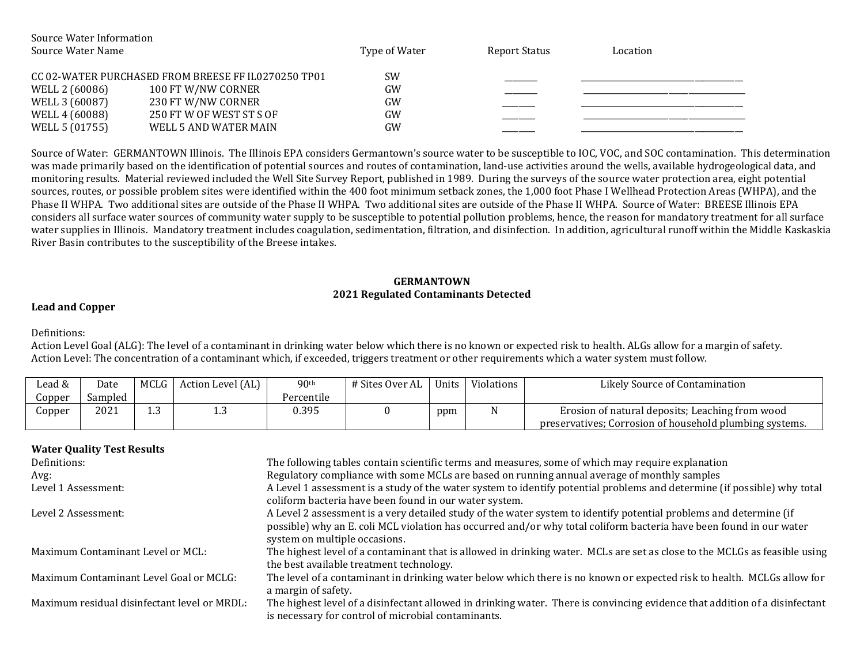| Source Water Information |                                                     |               |               |          |
|--------------------------|-----------------------------------------------------|---------------|---------------|----------|
| Source Water Name        |                                                     | Type of Water | Report Status | Location |
|                          |                                                     |               |               |          |
|                          | CC 02-WATER PURCHASED FROM BREESE FF IL0270250 TP01 | <b>SW</b>     |               |          |
| WELL 2 (60086)           | 100 FT W/NW CORNER                                  | GW            |               |          |
| WELL 3 (60087)           | 230 FT W/NW CORNER                                  | GW            |               |          |
| WELL 4 (60088)           | 250 FT W OF WEST ST S OF                            | GW            |               |          |
| WELL 5 (01755)           | WELL 5 AND WATER MAIN                               | GW            |               |          |

Source of Water: GERMANTOWN Illinois. The Illinois EPA considers Germantown's source water to be susceptible to IOC, VOC, and SOC contamination. This determination was made primarily based on the identification of potential sources and routes of contamination, land-use activities around the wells, available hydrogeological data, and monitoring results. Material reviewed included the Well Site Survey Report, published in 1989. During the surveys of the source water protection area, eight potential sources, routes, or possible problem sites were identified within the 400 foot minimum setback zones, the 1,000 foot Phase I Wellhead Protection Areas (WHPA), and the Phase II WHPA. Two additional sites are outside of the Phase II WHPA. Two additional sites are outside of the Phase II WHPA. Source of Water: BREESE Illinois EPA considers all surface water sources of community water supply to be susceptible to potential pollution problems, hence, the reason for mandatory treatment for all surface water supplies in Illinois. Mandatory treatment includes coagulation, sedimentation, filtration, and disinfection. In addition, agricultural runoff within the Middle Kaskaskia River Basin contributes to the susceptibility of the Breese intakes.

### **GERMANTOWN 2021 Regulated Contaminants Detected**

### **Lead and Copper**

Definitions:

Action Level Goal (ALG): The level of a contaminant in drinking water below which there is no known or expected risk to health. ALGs allow for a margin of safety. Action Level: The concentration of a contaminant which, if exceeded, triggers treatment or other requirements which a water system must follow.

| Lead & | Date    | MCLG       | Action Level (AL) | 90 <sup>th</sup> | # Sites Over AL | Units | Violations | Likely Source of Contamination                          |
|--------|---------|------------|-------------------|------------------|-----------------|-------|------------|---------------------------------------------------------|
| Jopper | Sampled |            |                   | Percentile       |                 |       |            |                                                         |
| Copper | 2021    | $\sqrt{2}$ | ں دے              | 0.395            |                 | ppm   |            | Erosion of natural deposits: Leaching from wood         |
|        |         |            |                   |                  |                 |       |            | preservatives; Corrosion of household plumbing systems. |

| <b>Water Quality Test Results</b>            |                                                                                                                                                                                    |
|----------------------------------------------|------------------------------------------------------------------------------------------------------------------------------------------------------------------------------------|
| Definitions:                                 | The following tables contain scientific terms and measures, some of which may require explanation                                                                                  |
| Avg:                                         | Regulatory compliance with some MCLs are based on running annual average of monthly samples                                                                                        |
| Level 1 Assessment:                          | A Level 1 assessment is a study of the water system to identify potential problems and determine (if possible) why total<br>coliform bacteria have been found in our water system. |
| Level 2 Assessment:                          | A Level 2 assessment is a very detailed study of the water system to identify potential problems and determine (if                                                                 |
|                                              | possible) why an E. coli MCL violation has occurred and/or why total coliform bacteria have been found in our water<br>system on multiple occasions.                               |
| Maximum Contaminant Level or MCL:            | The highest level of a contaminant that is allowed in drinking water. MCLs are set as close to the MCLGs as feasible using<br>the best available treatment technology.             |
| Maximum Contaminant Level Goal or MCLG:      | The level of a contaminant in drinking water below which there is no known or expected risk to health. MCLGs allow for<br>a margin of safety.                                      |
| Maximum residual disinfectant level or MRDL: | The highest level of a disinfectant allowed in drinking water. There is convincing evidence that addition of a disinfectant<br>is necessary for control of microbial contaminants. |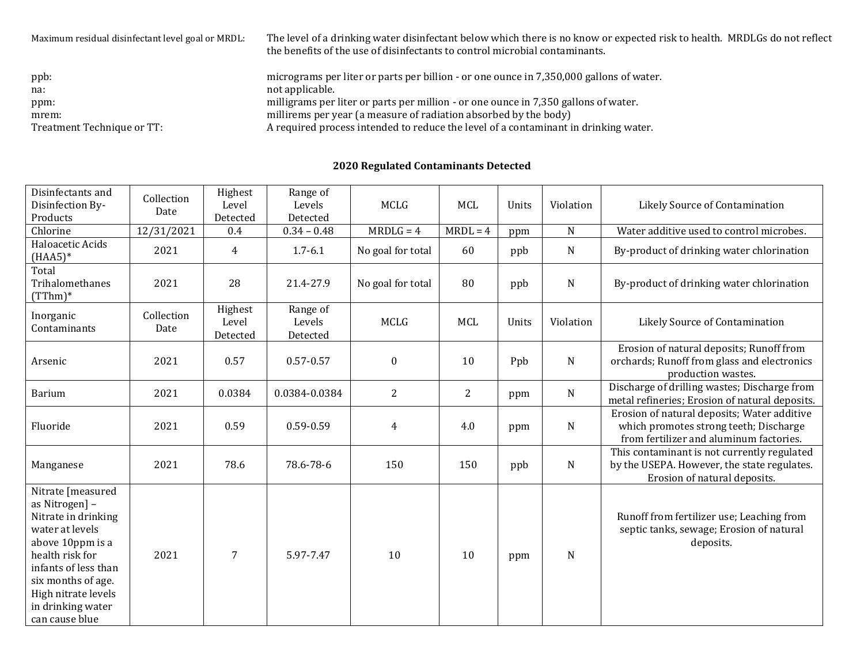| Maximum residual disinfectant level goal or MRDL: | The level of a drinking water disinfectant below which there is no know or expected risk to health. MRDLGs do not reflect<br>the benefits of the use of disinfectants to control microbial contaminants. |
|---------------------------------------------------|----------------------------------------------------------------------------------------------------------------------------------------------------------------------------------------------------------|
| ppb:                                              | micrograms per liter or parts per billion - or one ounce in 7,350,000 gallons of water.                                                                                                                  |
| na:                                               | not applicable.                                                                                                                                                                                          |
| ppm:                                              | milligrams per liter or parts per million - or one ounce in 7,350 gallons of water.                                                                                                                      |
| mrem:                                             | millirems per year (a measure of radiation absorbed by the body)                                                                                                                                         |
| Treatment Technique or TT:                        | A required process intended to reduce the level of a contaminant in drinking water.                                                                                                                      |

# **2020 Regulated Contaminants Detected**

| Disinfectants and<br>Disinfection By-<br>Products                                                                                                                                                                                | Collection<br>Date | Highest<br>Level<br>Detected | Range of<br>Levels<br>Detected | <b>MCLG</b>       | <b>MCL</b>     | Units | Violation   | Likely Source of Contamination                                                                                                   |
|----------------------------------------------------------------------------------------------------------------------------------------------------------------------------------------------------------------------------------|--------------------|------------------------------|--------------------------------|-------------------|----------------|-------|-------------|----------------------------------------------------------------------------------------------------------------------------------|
| Chlorine                                                                                                                                                                                                                         | 12/31/2021         | 0.4                          | $0.34 - 0.48$                  | $MRDLG = 4$       | $MRDL = 4$     | ppm   | $\mathbf N$ | Water additive used to control microbes.                                                                                         |
| Haloacetic Acids<br>$(HAA5)*$                                                                                                                                                                                                    | 2021               | $\overline{4}$               | $1.7 - 6.1$                    | No goal for total | 60             | ppb   | $\mathbf N$ | By-product of drinking water chlorination                                                                                        |
| Total<br>Trihalomethanes<br>$(TThm)*$                                                                                                                                                                                            | 2021               | 28                           | 21.4-27.9                      | No goal for total | 80             | ppb   | N           | By-product of drinking water chlorination                                                                                        |
| Inorganic<br>Contaminants                                                                                                                                                                                                        | Collection<br>Date | Highest<br>Level<br>Detected | Range of<br>Levels<br>Detected | <b>MCLG</b>       | <b>MCL</b>     | Units | Violation   | Likely Source of Contamination                                                                                                   |
| Arsenic                                                                                                                                                                                                                          | 2021               | 0.57                         | $0.57 - 0.57$                  | $\boldsymbol{0}$  | 10             | Ppb   | ${\bf N}$   | Erosion of natural deposits; Runoff from<br>orchards; Runoff from glass and electronics<br>production wastes.                    |
| Barium                                                                                                                                                                                                                           | 2021               | 0.0384                       | 0.0384-0.0384                  | $\overline{2}$    | $\overline{2}$ | ppm   | N           | Discharge of drilling wastes; Discharge from<br>metal refineries; Erosion of natural deposits.                                   |
| Fluoride                                                                                                                                                                                                                         | 2021               | 0.59                         | 0.59-0.59                      | $\overline{4}$    | 4.0            | ppm   | $\mathbf N$ | Erosion of natural deposits; Water additive<br>which promotes strong teeth; Discharge<br>from fertilizer and aluminum factories. |
| Manganese                                                                                                                                                                                                                        | 2021               | 78.6                         | 78.6-78-6                      | 150               | 150            | ppb   | N           | This contaminant is not currently regulated<br>by the USEPA. However, the state regulates.<br>Erosion of natural deposits.       |
| Nitrate [measured<br>as Nitrogen] -<br>Nitrate in drinking<br>water at levels<br>above 10ppm is a<br>health risk for<br>infants of less than<br>six months of age.<br>High nitrate levels<br>in drinking water<br>can cause blue | 2021               | $\overline{7}$               | 5.97-7.47                      | 10                | 10             | ppm   | $\mathbf N$ | Runoff from fertilizer use; Leaching from<br>septic tanks, sewage; Erosion of natural<br>deposits.                               |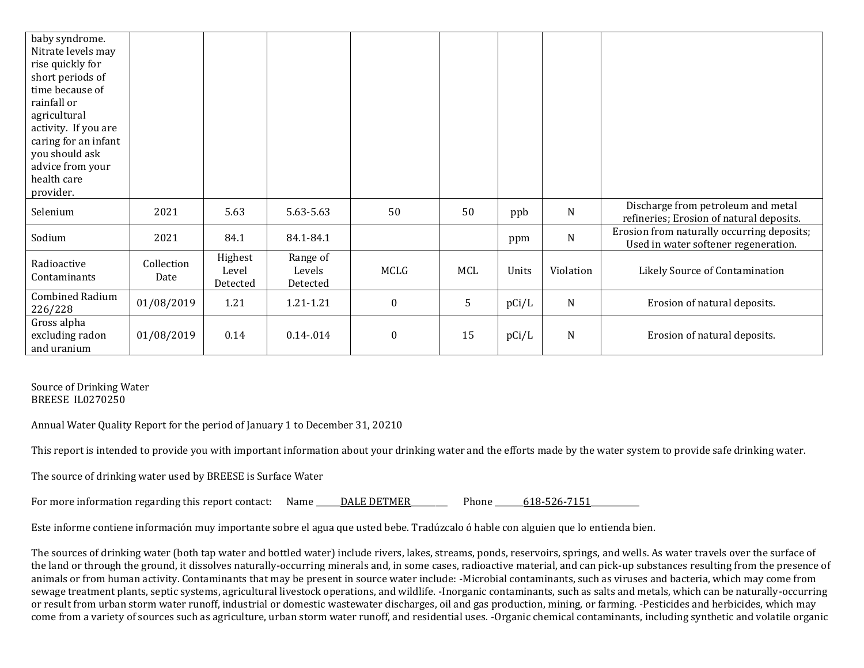| baby syndrome.<br>Nitrate levels may<br>rise quickly for<br>short periods of<br>time because of<br>rainfall or<br>agricultural<br>activity. If you are<br>caring for an infant<br>you should ask<br>advice from your<br>health care<br>provider. |                    |                              |                                |                  |     |       |             |                                                                                    |
|--------------------------------------------------------------------------------------------------------------------------------------------------------------------------------------------------------------------------------------------------|--------------------|------------------------------|--------------------------------|------------------|-----|-------|-------------|------------------------------------------------------------------------------------|
| Selenium                                                                                                                                                                                                                                         | 2021               | 5.63                         | 5.63-5.63                      | 50               | 50  | ppb   | N           | Discharge from petroleum and metal<br>refineries; Erosion of natural deposits.     |
| Sodium                                                                                                                                                                                                                                           | 2021               | 84.1                         | 84.1-84.1                      |                  |     | ppm   | $\mathbf N$ | Erosion from naturally occurring deposits;<br>Used in water softener regeneration. |
| Radioactive<br>Contaminants                                                                                                                                                                                                                      | Collection<br>Date | Highest<br>Level<br>Detected | Range of<br>Levels<br>Detected | MCLG             | MCL | Units | Violation   | Likely Source of Contamination                                                     |
| Combined Radium<br>226/228                                                                                                                                                                                                                       | 01/08/2019         | 1.21                         | 1.21-1.21                      | $\boldsymbol{0}$ | 5   | pCi/L | N           | Erosion of natural deposits.                                                       |
| Gross alpha<br>excluding radon<br>and uranium                                                                                                                                                                                                    | 01/08/2019         | 0.14                         | $0.14 - 0.014$                 | $\boldsymbol{0}$ | 15  | pCi/L | N           | Erosion of natural deposits.                                                       |

Source of Drinking Water BREESE IL0270250

Annual Water Quality Report for the period of January 1 to December 31, 20210

This report is intended to provide you with important information about your drinking water and the efforts made by the water system to provide safe drinking water.

The source of drinking water used by BREESE is Surface Water

| For more information regarding this report contact: | Name | DALE DETMER | Phone | 618-526-7151 |  |
|-----------------------------------------------------|------|-------------|-------|--------------|--|
|-----------------------------------------------------|------|-------------|-------|--------------|--|

Este informe contiene información muy importante sobre el agua que usted bebe. Tradúzcalo ó hable con alguien que lo entienda bien.

The sources of drinking water (both tap water and bottled water) include rivers, lakes, streams, ponds, reservoirs, springs, and wells. As water travels over the surface of the land or through the ground, it dissolves naturally-occurring minerals and, in some cases, radioactive material, and can pick-up substances resulting from the presence of animals or from human activity. Contaminants that may be present in source water include: -Microbial contaminants, such as viruses and bacteria, which may come from sewage treatment plants, septic systems, agricultural livestock operations, and wildlife. -Inorganic contaminants, such as salts and metals, which can be naturally-occurring or result from urban storm water runoff, industrial or domestic wastewater discharges, oil and gas production, mining, or farming. -Pesticides and herbicides, which may come from a variety of sources such as agriculture, urban storm water runoff, and residential uses. -Organic chemical contaminants, including synthetic and volatile organic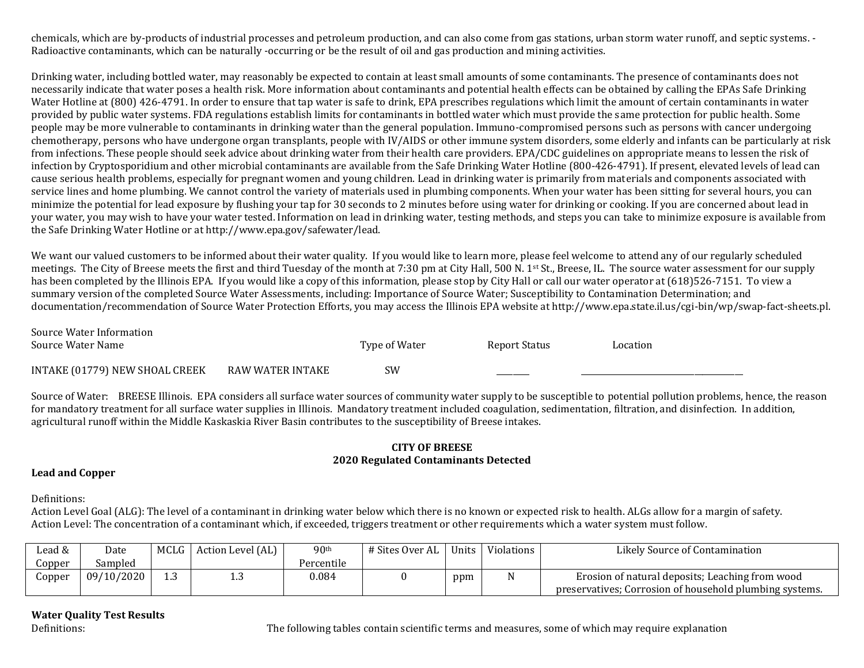chemicals, which are by-products of industrial processes and petroleum production, and can also come from gas stations, urban storm water runoff, and septic systems. - Radioactive contaminants, which can be naturally -occurring or be the result of oil and gas production and mining activities.

Drinking water, including bottled water, may reasonably be expected to contain at least small amounts of some contaminants. The presence of contaminants does not necessarily indicate that water poses a health risk. More information about contaminants and potential health effects can be obtained by calling the EPAs Safe Drinking Water Hotline at (800) 426-4791. In order to ensure that tap water is safe to drink, EPA prescribes regulations which limit the amount of certain contaminants in water provided by public water systems. FDA regulations establish limits for contaminants in bottled water which must provide the same protection for public health. Some people may be more vulnerable to contaminants in drinking water than the general population. Immuno-compromised persons such as persons with cancer undergoing chemotherapy, persons who have undergone organ transplants, people with IV/AIDS or other immune system disorders, some elderly and infants can be particularly at risk from infections. These people should seek advice about drinking water from their health care providers. EPA/CDC guidelines on appropriate means to lessen the risk of infection by Cryptosporidium and other microbial contaminants are available from the Safe Drinking Water Hotline (800-426-4791). If present, elevated levels of lead can cause serious health problems, especially for pregnant women and young children. Lead in drinking water is primarily from materials and components associated with service lines and home plumbing. We cannot control the variety of materials used in plumbing components. When your water has been sitting for several hours, you can minimize the potential for lead exposure by flushing your tap for 30 seconds to 2 minutes before using water for drinking or cooking. If you are concerned about lead in your water, you may wish to have your water tested. Information on lead in drinking water, testing methods, and steps you can take to minimize exposure is available from the Safe Drinking Water Hotline or at http://www.epa.gov/safewater/lead.

We want our valued customers to be informed about their water quality. If you would like to learn more, please feel welcome to attend any of our regularly scheduled meetings. The City of Breese meets the first and third Tuesday of the month at 7:30 pm at City Hall, 500 N. 1<sup>st</sup> St., Breese, IL. The source water assessment for our supply has been completed by the Illinois EPA. If you would like a copy of this information, please stop by City Hall or call our water operator at (618)526-7151. To view a summary version of the completed Source Water Assessments, including: Importance of Source Water; Susceptibility to Contamination Determination; and documentation/recommendation of Source Water Protection Efforts, you may access the Illinois EPA website at http://www.epa.state.il.us/cgi-bin/wp/swap-fact-sheets.pl.

| Source Water Information       |                  |               |               |          |
|--------------------------------|------------------|---------------|---------------|----------|
| Source Water Name              |                  | Type of Water | Report Status | Location |
|                                |                  |               |               |          |
| INTAKE (01779) NEW SHOAL CREEK | RAW WATER INTAKE | SW            |               |          |
|                                |                  |               |               |          |

Source of Water: BREESE Illinois. EPA considers all surface water sources of community water supply to be susceptible to potential pollution problems, hence, the reason for mandatory treatment for all surface water supplies in Illinois. Mandatory treatment included coagulation, sedimentation, filtration, and disinfection. In addition, agricultural runoff within the Middle Kaskaskia River Basin contributes to the susceptibility of Breese intakes.

#### **CITY OF BREESE 2020 Regulated Contaminants Detected**

### **Lead and Copper**

Definitions:

Action Level Goal (ALG): The level of a contaminant in drinking water below which there is no known or expected risk to health. ALGs allow for a margin of safety. Action Level: The concentration of a contaminant which, if exceeded, triggers treatment or other requirements which a water system must follow.

| Lead & | Date       | MCLG         | Action Level (AL) | 90 <sup>th</sup> | # Sites Over AL | Units | Violations | Likely Source of Contamination                          |
|--------|------------|--------------|-------------------|------------------|-----------------|-------|------------|---------------------------------------------------------|
| Copper | Sampled    |              |                   | Percentile       |                 |       |            |                                                         |
| Jopper | 09/10/2020 | $\sim$<br>سد | ⊥∗∪               | 0.084            |                 | ppm   |            | Erosion of natural deposits; Leaching from wood         |
|        |            |              |                   |                  |                 |       |            | preservatives; Corrosion of household plumbing systems. |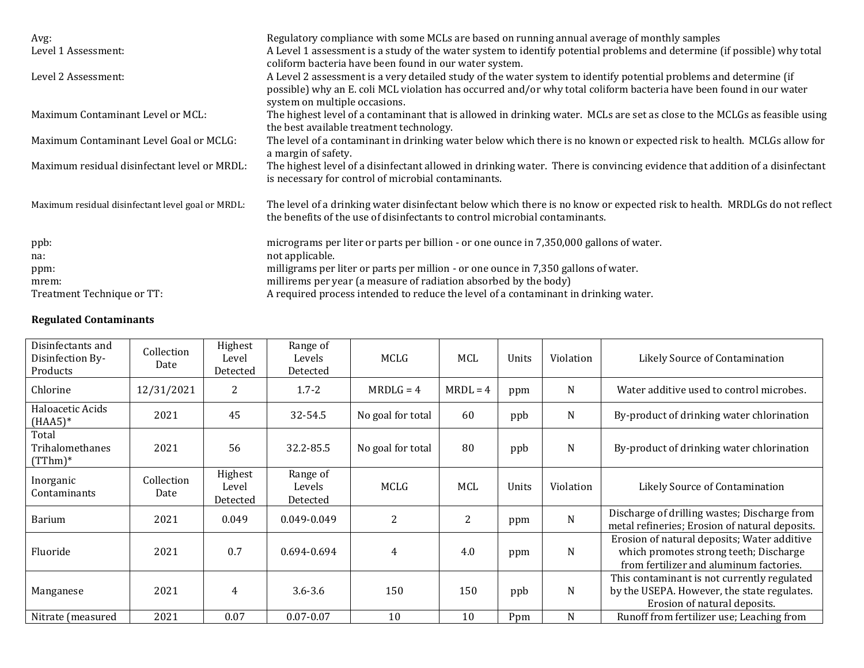| Avg:<br>Level 1 Assessment:                       | Regulatory compliance with some MCLs are based on running annual average of monthly samples<br>A Level 1 assessment is a study of the water system to identify potential problems and determine (if possible) why total<br>coliform bacteria have been found in our water system. |
|---------------------------------------------------|-----------------------------------------------------------------------------------------------------------------------------------------------------------------------------------------------------------------------------------------------------------------------------------|
| Level 2 Assessment:                               | A Level 2 assessment is a very detailed study of the water system to identify potential problems and determine (if<br>possible) why an E. coli MCL violation has occurred and/or why total coliform bacteria have been found in our water<br>system on multiple occasions.        |
| Maximum Contaminant Level or MCL:                 | The highest level of a contaminant that is allowed in drinking water. MCLs are set as close to the MCLGs as feasible using<br>the best available treatment technology.                                                                                                            |
| Maximum Contaminant Level Goal or MCLG:           | The level of a contaminant in drinking water below which there is no known or expected risk to health. MCLGs allow for<br>a margin of safety.                                                                                                                                     |
| Maximum residual disinfectant level or MRDL:      | The highest level of a disinfectant allowed in drinking water. There is convincing evidence that addition of a disinfectant<br>is necessary for control of microbial contaminants.                                                                                                |
| Maximum residual disinfectant level goal or MRDL: | The level of a drinking water disinfectant below which there is no know or expected risk to health. MRDLGs do not reflect<br>the benefits of the use of disinfectants to control microbial contaminants.                                                                          |
| ppb:<br>na:                                       | micrograms per liter or parts per billion - or one ounce in 7,350,000 gallons of water.<br>not applicable.                                                                                                                                                                        |
| ppm:                                              | milligrams per liter or parts per million - or one ounce in 7,350 gallons of water.<br>millirems per year (a measure of radiation absorbed by the body)                                                                                                                           |
| mrem:<br>Treatment Technique or TT:               | A required process intended to reduce the level of a contaminant in drinking water.                                                                                                                                                                                               |

## **Regulated Contaminants**

| Disinfectants and<br>Disinfection By-<br>Products | Collection<br>Date | Highest<br>Level<br>Detected | Range of<br>Levels<br>Detected | MCLG              | MCL        | Units | Violation   | Likely Source of Contamination                                                                                                   |
|---------------------------------------------------|--------------------|------------------------------|--------------------------------|-------------------|------------|-------|-------------|----------------------------------------------------------------------------------------------------------------------------------|
| Chlorine                                          | 12/31/2021         | 2                            | $1.7 - 2$                      | $MRDLG = 4$       | $MRDL = 4$ | ppm   | N           | Water additive used to control microbes.                                                                                         |
| Haloacetic Acids<br>$(HAA5)^*$                    | 2021               | 45                           | 32-54.5                        | No goal for total | 60         | ppb   | N           | By-product of drinking water chlorination                                                                                        |
| Total<br>Trihalomethanes<br>$(TThm)*$             | 2021               | 56                           | 32.2-85.5                      | No goal for total | 80         | ppb   | N           | By-product of drinking water chlorination                                                                                        |
| Inorganic<br>Contaminants                         | Collection<br>Date | Highest<br>Level<br>Detected | Range of<br>Levels<br>Detected | MCLG              | MCL        | Units | Violation   | Likely Source of Contamination                                                                                                   |
| <b>Barium</b>                                     | 2021               | 0.049                        | 0.049-0.049                    | 2                 | 2          | ppm   | $\mathbf N$ | Discharge of drilling wastes; Discharge from<br>metal refineries; Erosion of natural deposits.                                   |
| Fluoride                                          | 2021               | 0.7                          | 0.694-0.694                    | $\overline{4}$    | 4.0        | ppm   | N           | Erosion of natural deposits; Water additive<br>which promotes strong teeth; Discharge<br>from fertilizer and aluminum factories. |
| Manganese                                         | 2021               | 4                            | $3.6 - 3.6$                    | 150               | 150        | ppb   | N           | This contaminant is not currently regulated<br>by the USEPA. However, the state regulates.<br>Erosion of natural deposits.       |
| Nitrate (measured                                 | 2021               | 0.07                         | $0.07 - 0.07$                  | 10                | 10         | Ppm   | N           | Runoff from fertilizer use; Leaching from                                                                                        |